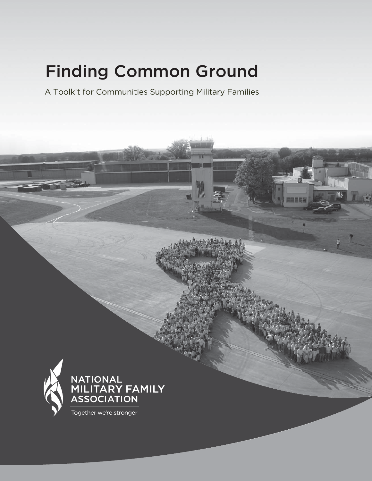# Finding Common Ground

A Toolkit for Communities Supporting Military Families



Together we're stronger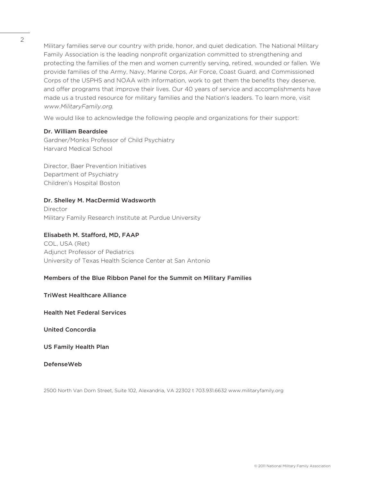Military families serve our country with pride, honor, and quiet dedication. The National Military Family Association is the leading nonprofit organization committed to strengthening and protecting the families of the men and women currently serving, retired, wounded or fallen. We provide families of the Army, Navy, Marine Corps, Air Force, Coast Guard, and Commissioned Corps of the USPHS and NOAA with information, work to get them the benefits they deserve, and offer programs that improve their lives. Our 40 years of service and accomplishments have made us a trusted resource for military families and the Nation's leaders. To learn more, visit www.MilitaryFamily.org.

We would like to acknowledge the following people and organizations for their support:

### Dr. William Beardslee

Gardner/Monks Professor of Child Psychiatry Harvard Medical School

Director, Baer Prevention Initiatives Department of Psychiatry Children's Hospital Boston

## Dr. Shelley M. MacDermid Wadsworth

Director Military Family Research Institute at Purdue University

#### Elisabeth M. Stafford, MD, FAAP

COL, USA (Ret) Adjunct Professor of Pediatrics University of Texas Health Science Center at San Antonio

### Members of the Blue Ribbon Panel for the Summit on Military Families

### TriWest Healthcare Alliance

Health Net Federal Services

United Concordia

US Family Health Plan

DefenseWeb

2500 North Van Dorn Street, Suite 102, Alexandria, VA 22302 t 703.931.6632 www.militaryfamily.org

2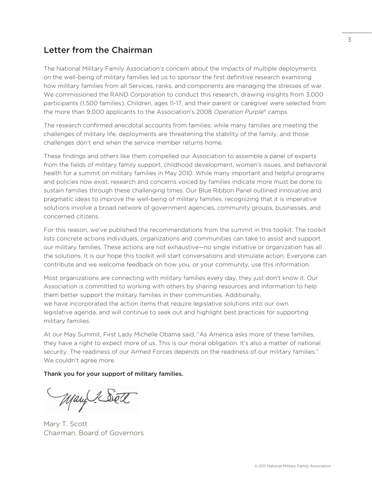## Letter from the Chairman

The National Military Family Association's concern about the impacts of multiple deployments on the well-being of military families led us to sponsor the first definitive research examining how military families from all Services, ranks, and components are managing the stresses of war. We commissioned the RAND Corporation to conduct this research, drawing insights from 3,000 participants (1,500 families). Children, ages 11-17, and their parent or caregiver were selected from the more than 9,000 applicants to the Association's 2008 Operation Purple<sup>®</sup> camps.

The research confirmed anecdotal accounts from families: while many families are meeting the challenges of military life, deployments are threatening the stability of the family, and those challenges don't end when the service member returns home.

These findings and others like them compelled our Association to assemble a panel of experts from the fields of military family support, childhood development, women's issues, and behavioral health for a summit on military families in May 2010. While many important and helpful programs and policies now exist, research and concerns voiced by families indicate more must be done to sustain families through these challenging times. Our Blue Ribbon Panel outlined innovative and pragmatic ideas to improve the well-being of military families, recognizing that it is imperative solutions involve a broad network of government agencies, community groups, businesses, and concerned citizens.

For this reason, we've published the recommendations from the summit in this toolkit. The toolkit lists concrete actions individuals, organizations and communities can take to assist and support our military families. These actions are not exhaustive—no single initiative or organization has all the solutions. It is our hope this toolkit will start conversations and stimulate action. Everyone can contribute and we welcome feedback on how you, or your community, use this information.

Most organizations are connecting with military families every day, they just don't know it. Our Association is committed to working with others by sharing resources and information to help them better support the military families in their communities. Additionally, we have incorporated the action items that require legislative solutions into our own legislative agenda, and will continue to seek out and highlight best practices for supporting military families.

At our May Summit, First Lady Michelle Obama said, "As America asks more of these families, they have a right to expect more of us. This is our moral obligation. It's also a matter of national security. The readiness of our Armed Forces depends on the readiness of our military families." We couldn't agree more.

Thank you for your support of military families.

Mary 1 Sett

Mary T. Scott Chairman, Board of Governors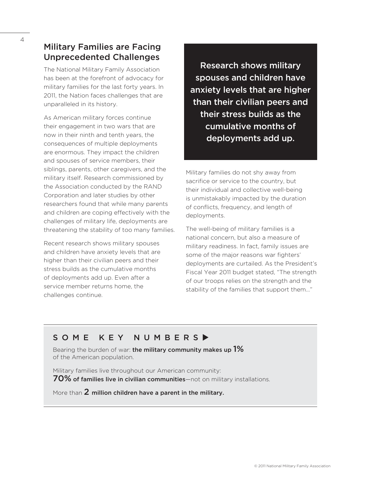## Military Families are Facing Unprecedented Challenges

The National Military Family Association has been at the forefront of advocacy for military families for the last forty years. In 2011, the Nation faces challenges that are unparalleled in its history.

As American military forces continue their engagement in two wars that are now in their ninth and tenth years, the consequences of multiple deployments are enormous. They impact the children and spouses of service members, their siblings, parents, other caregivers, and the military itself. Research commissioned by the Association conducted by the RAND Corporation and later studies by other researchers found that while many parents and children are coping effectively with the challenges of military life, deployments are threatening the stability of too many families.

Recent research shows military spouses and children have anxiety levels that are higher than their civilian peers and their stress builds as the cumulative months of deployments add up. Even after a service member returns home, the challenges continue.

Research shows military spouses and children have anxiety levels that are higher than their civilian peers and their stress builds as the cumulative months of deployments add up.

Military families do not shy away from sacrifice or service to the country, but their individual and collective well-being is unmistakably impacted by the duration of conflicts, frequency, and length of deployments.

The well-being of military families is a national concern, but also a measure of military readiness. In fact, family issues are some of the major reasons war fighters' deployments are curtailed. As the President's Fiscal Year 2011 budget stated, "The strength of our troops relies on the strength and the stability of the families that support them…"

## SOME KEY NUMBERS

Bearing the burden of war: the military community makes up  $1\%$ of the American population.

Military families live throughout our American community: 70% of families live in civilian communities—not on military installations.

More than 2 million children have a parent in the military.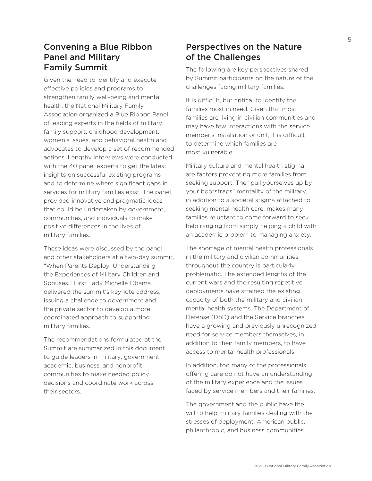## Convening a Blue Ribbon Panel and Military Family Summit

Given the need to identify and execute effective policies and programs to strengthen family well-being and mental health, the National Military Family Association organized a Blue Ribbon Panel of leading experts in the fields of military family support, childhood development, women's issues, and behavioral health and advocates to develop a set of recommended actions. Lengthy interviews were conducted with the 40 panel experts to get the latest insights on successful existing programs and to determine where significant gaps in services for military families exist. The panel provided innovative and pragmatic ideas that could be undertaken by government, communities, and individuals to make positive differences in the lives of military families.

These ideas were discussed by the panel and other stakeholders at a two-day summit, "When Parents Deploy: Understanding the Experiences of Military Children and Spouses." First Lady Michelle Obama delivered the summit's keynote address, issuing a challenge to government and the private sector to develop a more coordinated approach to supporting military families.

The recommendations formulated at the Summit are summarized in this document to guide leaders in military, government, academic, business, and nonprofit communities to make needed policy decisions and coordinate work across their sectors.

## Perspectives on the Nature of the Challenges

The following are key perspectives shared by Summit participants on the nature of the challenges facing military families.

It is difficult, but critical to identify the families most in need. Given that most families are living in civilian communities and may have few interactions with the service member's installation or unit, it is difficult to determine which families are most vulnerable.

Military culture and mental health stigma are factors preventing more families from seeking support. The "pull yourselves up by your bootstraps" mentality of the military, in addition to a societal stigma attached to seeking mental health care, makes many families reluctant to come forward to seek help ranging from simply helping a child with an academic problem to managing anxiety.

The shortage of mental health professionals in the military and civilian communities throughout the country is particularly problematic. The extended lengths of the current wars and the resulting repetitive deployments have strained the existing capacity of both the military and civilian mental health systems. The Department of Defense (DoD) and the Service branches have a growing and previously unrecognized need for service members themselves, in addition to their family members, to have access to mental health professionals.

In addition, too many of the professionals offering care do not have an understanding of the military experience and the issues faced by service members and their families.

The government and the public have the will to help military families dealing with the stresses of deployment. American public, philanthropic, and business communities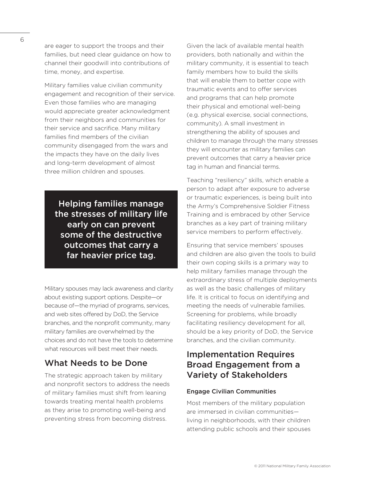are eager to support the troops and their families, but need clear guidance on how to channel their goodwill into contributions of time, money, and expertise.

Military families value civilian community engagement and recognition of their service. Even those families who are managing would appreciate greater acknowledgment from their neighbors and communities for their service and sacrifice. Many military families find members of the civilian community disengaged from the wars and the impacts they have on the daily lives and long-term development of almost three million children and spouses.

Helping families manage the stresses of military life early on can prevent some of the destructive outcomes that carry a far heavier price tag.

Military spouses may lack awareness and clarity about existing support options. Despite—or because of—the myriad of programs, services, and web sites offered by DoD, the Service branches, and the nonprofit community, many military families are overwhelmed by the choices and do not have the tools to determine what resources will best meet their needs.

## What Needs to be Done

The strategic approach taken by military and nonprofit sectors to address the needs of military families must shift from leaning towards treating mental health problems as they arise to promoting well-being and preventing stress from becoming distress.

Given the lack of available mental health providers, both nationally and within the military community, it is essential to teach family members how to build the skills that will enable them to better cope with traumatic events and to offer services and programs that can help promote their physical and emotional well-being (e.g. physical exercise, social connections, community). A small investment in strengthening the ability of spouses and children to manage through the many stresses they will encounter as military families can prevent outcomes that carry a heavier price tag in human and financial terms.

Teaching "resiliency" skills, which enable a person to adapt after exposure to adverse or traumatic experiences, is being built into the Army's Comprehensive Soldier Fitness Training and is embraced by other Service branches as a key part of training military service members to perform effectively.

Ensuring that service members' spouses and children are also given the tools to build their own coping skills is a primary way to help military families manage through the extraordinary stress of multiple deployments as well as the basic challenges of military life. It is critical to focus on identifying and meeting the needs of vulnerable families. Screening for problems, while broadly facilitating resiliency development for all, should be a key priority of DoD, the Service branches, and the civilian community.

## Implementation Requires Broad Engagement from a Variety of Stakeholders

#### Engage Civilian Communities

Most members of the military population are immersed in civilian communities living in neighborhoods, with their children attending public schools and their spouses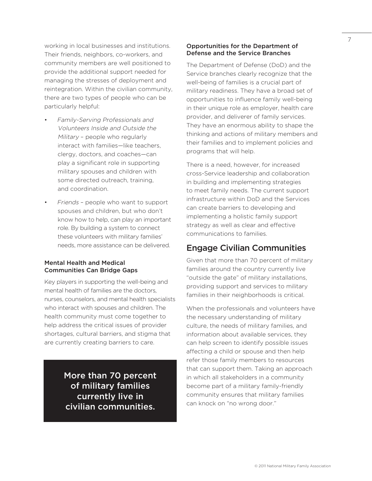working in local businesses and institutions. Their friends, neighbors, co-workers, and community members are well positioned to provide the additional support needed for managing the stresses of deployment and reintegration. Within the civilian community, there are two types of people who can be particularly helpful:

- Family-Serving Professionals and Volunteers Inside and Outside the Military – people who regularly interact with families—like teachers, clergy, doctors, and coaches—can play a significant role in supporting military spouses and children with some directed outreach, training, and coordination.
- Friends people who want to support spouses and children, but who don't know how to help, can play an important role. By building a system to connect these volunteers with military families' needs, more assistance can be delivered.

#### Mental Health and Medical Communities Can Bridge Gaps

Key players in supporting the well-being and mental health of families are the doctors, nurses, counselors, and mental health specialists who interact with spouses and children. The health community must come together to help address the critical issues of provider shortages, cultural barriers, and stigma that are currently creating barriers to care.

> More than 70 percent of military families currently live in civilian communities.

#### Opportunities for the Department of Defense and the Service Branches

The Department of Defense (DoD) and the Service branches clearly recognize that the well-being of families is a crucial part of military readiness. They have a broad set of opportunities to influence family well-being in their unique role as employer, health care provider, and deliverer of family services. They have an enormous ability to shape the thinking and actions of military members and their families and to implement policies and programs that will help.

There is a need, however, for increased cross-Service leadership and collaboration in building and implementing strategies to meet family needs. The current support infrastructure within DoD and the Services can create barriers to developing and implementing a holistic family support strategy as well as clear and effective communications to families.

## Engage Civilian Communities

Given that more than 70 percent of military families around the country currently live "outside the gate" of military installations, providing support and services to military families in their neighborhoods is critical.

When the professionals and volunteers have the necessary understanding of military culture, the needs of military families, and information about available services, they can help screen to identify possible issues affecting a child or spouse and then help refer those family members to resources that can support them. Taking an approach in which all stakeholders in a community become part of a military family-friendly community ensures that military families can knock on "no wrong door."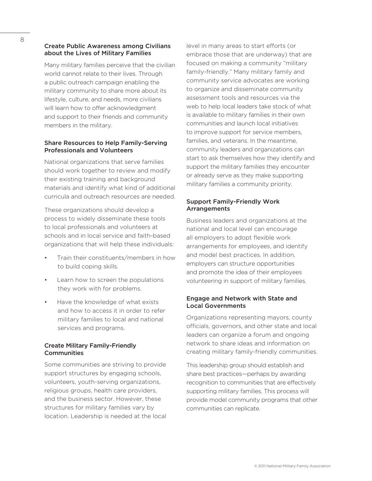### Create Public Awareness among Civilians about the Lives of Military Families

Many military families perceive that the civilian world cannot relate to their lives. Through a public outreach campaign enabling the military community to share more about its lifestyle, culture, and needs, more civilians will learn how to offer acknowledgment and support to their friends and community members in the military.

### Share Resources to Help Family-Serving Professionals and Volunteers

National organizations that serve families should work together to review and modify their existing training and background materials and identify what kind of additional curricula and outreach resources are needed.

These organizations should develop a process to widely disseminate these tools to local professionals and volunteers at schools and in local service and faith-based organizations that will help these individuals:

- Train their constituents/members in how to build coping skills.
- Learn how to screen the populations they work with for problems.
- Have the knowledge of what exists and how to access it in order to refer military families to local and national services and programs.

### Create Military Family-Friendly **Communities**

Some communities are striving to provide support structures by engaging schools, volunteers, youth-serving organizations, religious groups, health care providers, and the business sector. However, these structures for military families vary by location. Leadership is needed at the local level in many areas to start efforts (or embrace those that are underway) that are focused on making a community "military family-friendly." Many military family and community service advocates are working to organize and disseminate community assessment tools and resources via the web to help local leaders take stock of what is available to military families in their own communities and launch local initiatives to improve support for service members, families, and veterans. In the meantime, community leaders and organizations can start to ask themselves how they identify and support the military families they encounter or already serve as they make supporting military families a community priority.

## Support Family-Friendly Work Arrangements

Business leaders and organizations at the national and local level can encourage all employers to adopt flexible work arrangements for employees, and identify and model best practices. In addition, employers can structure opportunities and promote the idea of their employees volunteering in support of military families.

## Engage and Network with State and Local Governments

Organizations representing mayors, county officials, governors, and other state and local leaders can organize a forum and ongoing network to share ideas and information on creating military family-friendly communities.

This leadership group should establish and share best practices—perhaps by awarding recognition to communities that are effectively supporting military families. This process will provide model community programs that other communities can replicate.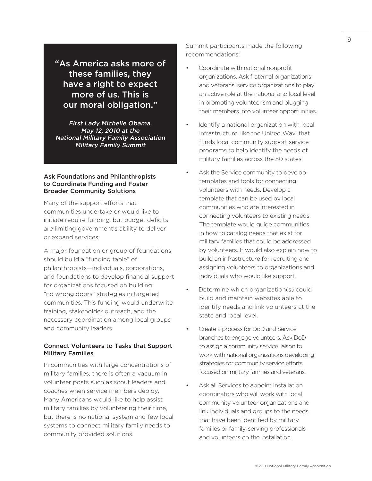"As America asks more of these families, they have a right to expect more of us. This is our moral obligation."

First Lady Michelle Obama, May 12, 2010 at the National Military Family Association Military Family Summit

#### Ask Foundations and Philanthropists to Coordinate Funding and Foster Broader Community Solutions

Many of the support efforts that communities undertake or would like to initiate require funding, but budget deficits are limiting government's ability to deliver or expand services.

A major foundation or group of foundations should build a "funding table" of philanthropists—individuals, corporations, and foundations to develop financial support for organizations focused on building "no wrong doors" strategies in targeted communities. This funding would underwrite training, stakeholder outreach, and the necessary coordination among local groups and community leaders.

#### Connect Volunteers to Tasks that Support Military Families

In communities with large concentrations of military families, there is often a vacuum in volunteer posts such as scout leaders and coaches when service members deploy. Many Americans would like to help assist military families by volunteering their time, but there is no national system and few local systems to connect military family needs to community provided solutions.

Summit participants made the following recommendations:

- Coordinate with national nonprofit organizations. Ask fraternal organizations and veterans' service organizations to play an active role at the national and local level in promoting volunteerism and plugging their members into volunteer opportunities.
- Identify a national organization with local infrastructure, like the United Way, that funds local community support service programs to help identify the needs of military families across the 50 states.
- Ask the Service community to develop templates and tools for connecting volunteers with needs. Develop a template that can be used by local communities who are interested in connecting volunteers to existing needs. The template would guide communities in how to catalog needs that exist for military families that could be addressed by volunteers. It would also explain how to build an infrastructure for recruiting and assigning volunteers to organizations and individuals who would like support.
- Determine which organization(s) could build and maintain websites able to identify needs and link volunteers at the state and local level.
- Create a process for DoD and Service branches to engage volunteers. Ask DoD to assign a community service liaison to work with national organizations developing strategies for community service efforts focused on military families and veterans.
- Ask all Services to appoint installation coordinators who will work with local community volunteer organizations and link individuals and groups to the needs that have been identified by military families or family-serving professionals and volunteers on the installation.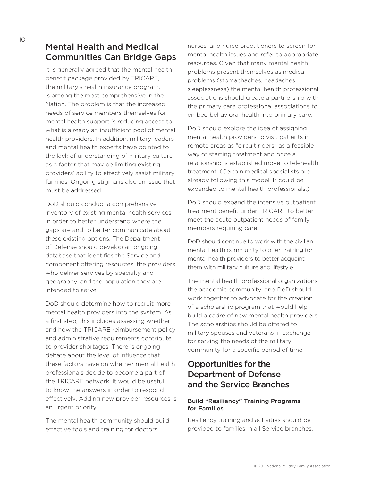It is generally agreed that the mental health benefit package provided by TRICARE. the military's health insurance program, is among the most comprehensive in the Nation. The problem is that the increased needs of service members themselves for mental health support is reducing access to what is already an insufficient pool of mental health providers. In addition, military leaders and mental health experts have pointed to the lack of understanding of military culture as a factor that may be limiting existing providers' ability to effectively assist military families. Ongoing stigma is also an issue that must be addressed.

DoD should conduct a comprehensive inventory of existing mental health services in order to better understand where the gaps are and to better communicate about these existing options. The Department of Defense should develop an ongoing database that identifies the Service and component offering resources, the providers who deliver services by specialty and geography, and the population they are intended to serve.

DoD should determine how to recruit more mental health providers into the system. As a first step, this includes assessing whether and how the TRICARE reimbursement policy and administrative requirements contribute to provider shortages. There is ongoing debate about the level of influence that these factors have on whether mental health professionals decide to become a part of the TRICARE network. It would be useful to know the answers in order to respond effectively. Adding new provider resources is an urgent priority.

The mental health community should build effective tools and training for doctors,

nurses, and nurse practitioners to screen for mental health issues and refer to appropriate resources. Given that many mental health problems present themselves as medical problems (stomachaches, headaches, sleeplessness) the mental health professional associations should create a partnership with the primary care professional associations to embed behavioral health into primary care.

DoD should explore the idea of assigning mental health providers to visit patients in remote areas as "circuit riders" as a feasible way of starting treatment and once a relationship is established move to telehealth treatment. (Certain medical specialists are already following this model. It could be expanded to mental health professionals.)

DoD should expand the intensive outpatient treatment benefit under TRICARE to better meet the acute outpatient needs of family members requiring care.

DoD should continue to work with the civilian mental health community to offer training for mental health providers to better acquaint them with military culture and lifestyle.

The mental health professional organizations, the academic community, and DoD should work together to advocate for the creation of a scholarship program that would help build a cadre of new mental health providers. The scholarships should be offered to military spouses and veterans in exchange for serving the needs of the military community for a specific period of time.

## Opportunities for the Department of Defense and the Service Branches

## Build "Resiliency" Training Programs for Families

Resiliency training and activities should be provided to families in all Service branches.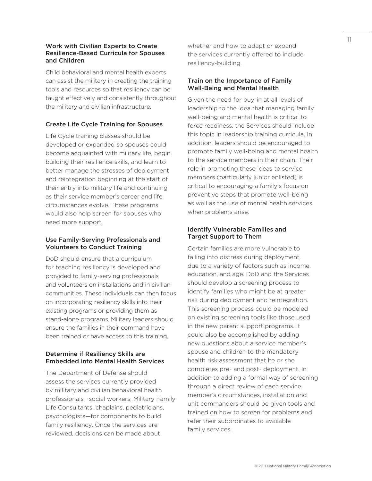#### Work with Civilian Experts to Create Resilience-Based Curricula for Spouses and Children

Child behavioral and mental health experts can assist the military in creating the training tools and resources so that resiliency can be taught effectively and consistently throughout the military and civilian infrastructure.

## Create Life Cycle Training for Spouses

Life Cycle training classes should be developed or expanded so spouses could become acquainted with military life, begin building their resilience skills, and learn to better manage the stresses of deployment and reintegration beginning at the start of their entry into military life and continuing as their service member's career and life circumstances evolve. These programs would also help screen for spouses who need more support.

### Use Family-Serving Professionals and Volunteers to Conduct Training

DoD should ensure that a curriculum for teaching resiliency is developed and provided to family-serving professionals and volunteers on installations and in civilian communities. These individuals can then focus on incorporating resiliency skills into their existing programs or providing them as stand-alone programs. Military leaders should ensure the families in their command have been trained or have access to this training.

## Determine if Resiliency Skills are Embedded into Mental Health Services

The Department of Defense should assess the services currently provided by military and civilian behavioral health professionals—social workers, Military Family Life Consultants, chaplains, pediatricians, psychologists—for components to build family resiliency. Once the services are reviewed, decisions can be made about

whether and how to adapt or expand the services currently offered to include resiliency-building.

#### Train on the Importance of Family Well-Being and Mental Health

Given the need for buy-in at all levels of leadership to the idea that managing family well-being and mental health is critical to force readiness, the Services should include this topic in leadership training curricula. In addition, leaders should be encouraged to promote family well-being and mental health to the service members in their chain. Their role in promoting these ideas to service members (particularly junior enlisted) is critical to encouraging a family's focus on preventive steps that promote well-being as well as the use of mental health services when problems arise.

## Identify Vulnerable Families and Target Support to Them

Certain families are more vulnerable to falling into distress during deployment, due to a variety of factors such as income, education, and age. DoD and the Services should develop a screening process to identify families who might be at greater risk during deployment and reintegration. This screening process could be modeled on existing screening tools like those used in the new parent support programs. It could also be accomplished by adding new questions about a service member's spouse and children to the mandatory health risk assessment that he or she completes pre- and post- deployment. In addition to adding a formal way of screening through a direct review of each service member's circumstances, installation and unit commanders should be given tools and trained on how to screen for problems and refer their subordinates to available family services.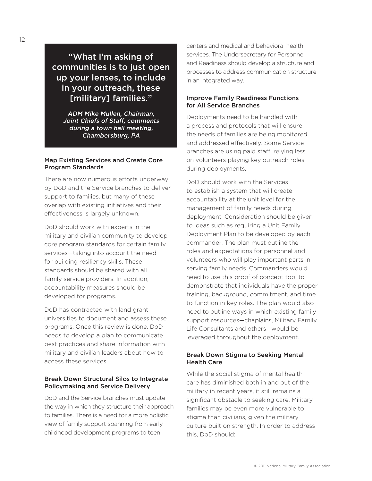## "What I'm asking of communities is to just open up your lenses, to include in your outreach, these [military] families."

ADM Mike Mullen, Chairman, Joint Chiefs of Staff, comments during a town hall meeting, Chambersburg, PA

### Map Existing Services and Create Core Program Standards

There are now numerous efforts underway by DoD and the Service branches to deliver support to families, but many of these overlap with existing initiatives and their effectiveness is largely unknown.

DoD should work with experts in the military and civilian community to develop core program standards for certain family services—taking into account the need for building resiliency skills. These standards should be shared with all family service providers. In addition, accountability measures should be developed for programs.

DoD has contracted with land grant universities to document and assess these programs. Once this review is done, DoD needs to develop a plan to communicate best practices and share information with military and civilian leaders about how to access these services.

### Break Down Structural Silos to Integrate Policymaking and Service Delivery

DoD and the Service branches must update the way in which they structure their approach to families. There is a need for a more holistic view of family support spanning from early childhood development programs to teen

centers and medical and behavioral health services. The Undersecretary for Personnel and Readiness should develop a structure and processes to address communication structure in an integrated way.

### Improve Family Readiness Functions for All Service Branches

Deployments need to be handled with a process and protocols that will ensure the needs of families are being monitored and addressed effectively. Some Service branches are using paid staff, relying less on volunteers playing key outreach roles during deployments.

DoD should work with the Services to establish a system that will create accountability at the unit level for the management of family needs during deployment. Consideration should be given to ideas such as requiring a Unit Family Deployment Plan to be developed by each commander. The plan must outline the roles and expectations for personnel and volunteers who will play important parts in serving family needs. Commanders would need to use this proof of concept tool to demonstrate that individuals have the proper training, background, commitment, and time to function in key roles. The plan would also need to outline ways in which existing family support resources—chaplains, Military Family Life Consultants and others—would be leveraged throughout the deployment.

## Break Down Stigma to Seeking Mental Health Care

While the social stigma of mental health care has diminished both in and out of the military in recent years, it still remains a significant obstacle to seeking care. Military families may be even more vulnerable to stigma than civilians, given the military culture built on strength. In order to address this, DoD should: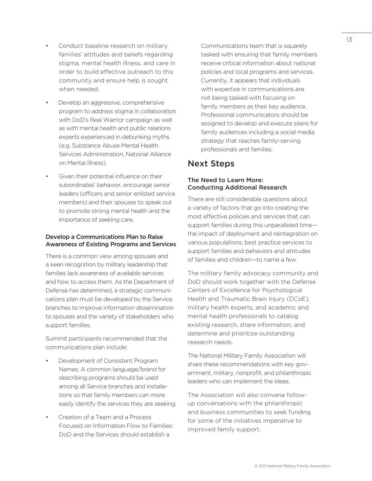- Conduct baseline research on military families' attitudes and beliefs regarding stigma, mental health illness, and care in order to build effective outreach to this community and ensure help is sought when needed.
- Develop an aggressive, comprehensive program to address stigma in collaboration with DoD's Real Warrior campaign as well as with mental health and public relations experts experienced in debunking myths (e.g. Substance Abuse Mental Health Services Administration, National Alliance on Mental Illness).
- Given their potential influence on their subordinates' behavior, encourage senior leaders (officers and senior enlisted service members) and their spouses to speak out to promote strong mental health and the importance of seeking care.

### Develop a Communications Plan to Raise Awareness of Existing Programs and Services

There is a common view among spouses and a keen recognition by military leadership that families lack awareness of available services and how to access them. As the Department of Defense has determined, a strategic communications plan must be developed by the Service branches to improve information dissemination to spouses and the variety of stakeholders who support families.

Summit participants recommended that the communications plan include:

- Development of Consistent Program Names: A common language/brand for describing programs should be used among all Service branches and installations so that family members can more easily identify the services they are seeking.
- Creation of a Team and a Process Focused on Information Flow to Families: DoD and the Services should establish a

Communications team that is squarely tasked with ensuring that family members receive critical information about national policies and local programs and services. Currently, it appears that individuals with expertise in communications are not being tasked with focusing on family members as their key audience. Professional communicators should be assigned to develop and execute plans for family audiences including a social media strategy that reaches family-serving professionals and families.

## Next Steps

## The Need to Learn More: Conducting Additional Research

There are still considerable questions about a variety of factors that go into creating the most effective policies and services that can support families during this unparalleled time the impact of deployment and reintegration on various populations, best practice services to support families and behaviors and attitudes of families and children—to name a few.

The military family advocacy community and DoD should work together with the Defense Centers of Excellence for Psychological Health and Traumatic Brain Injury (DCoE), military health experts, and academic and mental health professionals to catalog existing research, share information, and determine and prioritize outstanding research needs.

The National Military Family Association will share these recommendations with key government, military, nonprofit, and philanthropic leaders who can implement the ideas.

The Association will also convene followup conversations with the philanthropic and business communities to seek funding for some of the initiatives imperative to improved family support.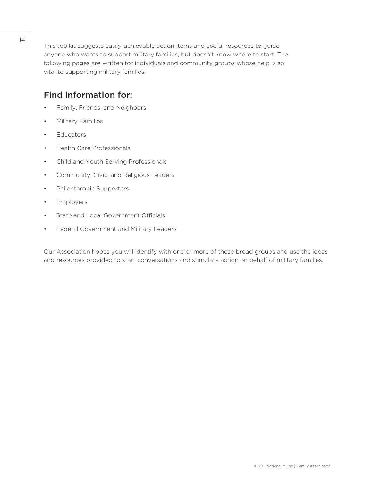This toolkit suggests easily-achievable action items and useful resources to guide anyone who wants to support military families, but doesn't know where to start. The following pages are written for individuals and community groups whose help is so vital to supporting military families.

## Find information for:

- Family, Friends, and Neighbors
- Military Families
- Educators
- Health Care Professionals
- Child and Youth Serving Professionals
- Community, Civic, and Religious Leaders
- Philanthropic Supporters
- Employers
- State and Local Government Officials
- Federal Government and Military Leaders

Our Association hopes you will identify with one or more of these broad groups and use the ideas and resources provided to start conversations and stimulate action on behalf of military families.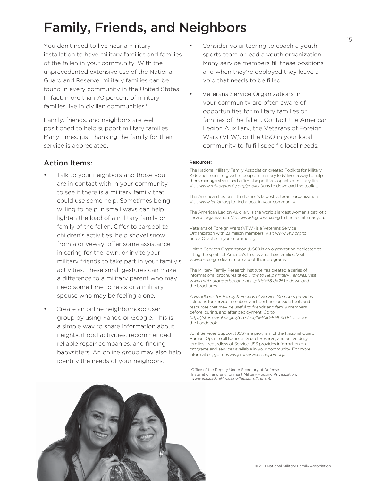## Family, Friends, and Neighbors

You don't need to live near a military installation to have military families and families of the fallen in your community. With the unprecedented extensive use of the National Guard and Reserve, military families can be found in every community in the United States. In fact, more than 70 percent of military families live in civilian communities.<sup>1</sup>

Family, friends, and neighbors are well positioned to help support military families. Many times, just thanking the family for their service is appreciated.

## Action Items:

- Talk to your neighbors and those you are in contact with in your community to see if there is a military family that could use some help. Sometimes being willing to help in small ways can help lighten the load of a military family or family of the fallen. Offer to carpool to children's activities, help shovel snow from a driveway, offer some assistance in caring for the lawn, or invite your military friends to take part in your family's activities. These small gestures can make a difference to a military parent who may need some time to relax or a military spouse who may be feeling alone.
- Create an online neighborhood user group by using Yahoo or Google. This is a simple way to share information about neighborhood activities, recommended reliable repair companies, and finding babysitters. An online group may also help identify the needs of your neighbors.
- Consider volunteering to coach a youth sports team or lead a youth organization. Many service members fill these positions and when they're deployed they leave a void that needs to be filled.
- Veterans Service Organizations in your community are often aware of opportunities for military families or families of the fallen. Contact the American Legion Auxiliary, the Veterans of Foreign Wars (VFW), or the USO in your local community to fulfill specific local needs.

#### Resources:

The National Military Family Association created Toolkits for Military Kids and Teens to give the people in military kids' lives a way to help them manage stress and affirm the positive aspects of military life. Visit www.militaryfamily.org/publications to download the toolkits.

The American Legion is the Nation's largest veterans organization. Visit www.legion.org to find a post in your community.

The American Legion Auxiliary is the world's largest women's patriotic service organization. Visit www.legion-aux.org to find a unit near you.

Veterans of Foreign Wars (VFW) is a Veterans Service Organization with 2.1 million members. Visit www.vfw.org to find a Chapter in your community.

United Services Organization (USO) is an organization dedicated to lifting the spirits of America's troops and their families. Visit www.uso.org to learn more about their programs.

The Military Family Research Institute has created a series of informational brochures titled, How to Help Military Families. Visit www.mfri.purdue.edu/content.asp?tid=6&id=25 to download the brochures.

A Handbook for Family & Friends of Service Members provides solutions for service members and identifies outside tools and resources that may be useful to friends and family members before, during, and after deployment. Go to http://store.samhsa.gov/product/SMA10-EMLKITM to order the handbook.

Joint Services Support (JSS) is a program of the National Guard Bureau. Open to all National Guard, Reserve, and active duty families—regardless of Service, JSS provides information on programs and services available in your community. For more information, go to www.jointservicessupport.org.

<sup>1</sup> Office of the Deputy Under Secretary of Defense Installation and Environment Military Housing Privatization: www.acq.osd.mil/housing/faqs.htm#Tenant.



15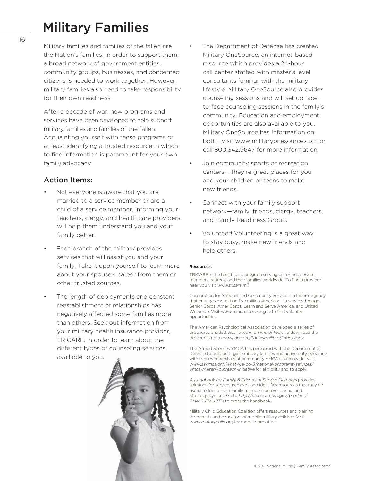## Military Families

Military families and families of the fallen are the Nation's families. In order to support them, a broad network of government entities, community groups, businesses, and concerned citizens is needed to work together. However, military families also need to take responsibility for their own readiness.

After a decade of war, new programs and services have been developed to help support military families and families of the fallen. Acquainting yourself with these programs or at least identifying a trusted resource in which to find information is paramount for your own family advocacy.

## Action Items:

- Not everyone is aware that you are married to a service member or are a child of a service member. Informing your teachers, clergy, and health care providers will help them understand you and your family better.
- Each branch of the military provides services that will assist you and your family. Take it upon yourself to learn more about your spouse's career from them or other trusted sources.
- The length of deployments and constant reestablishment of relationships has negatively affected some families more than others. Seek out information from your military health insurance provider, TRICARE, in order to learn about the different types of counseling services available to you.



- The Department of Defense has created Military OneSource, an internet-based resource which provides a 24-hour call center staffed with master's level consultants familiar with the military lifestyle. Military OneSource also provides counseling sessions and will set up faceto-face counseling sessions in the family's community. Education and employment opportunities are also available to you. Military OneSource has information on both—visit www.militaryonesource.com or call 800.342.9647 for more information.
- Join community sports or recreation centers— they're great places for you and your children or teens to make new friends.
- Connect with your family support network—family, friends, clergy, teachers, and Family Readiness Group.
- Volunteer! Volunteering is a great way to stay busy, make new friends and help others.

#### Resources:

TRICARE is the health care program serving uniformed service members, retirees, and their families worldwide. To find a provider near you visit www.tricare.mil.

Corporation for National and Community Service is a federal agency that engages more than five million Americans in service through Senior Corps, AmeriCorps, Learn and Serve America, and United We Serve. Visit www.nationalservice.gov to find volunteer opportunities.

The American Psychological Association developed a series of brochures entitled, Resilience in a Time of War. To download the brochures go to www.apa.org/topics/military/index.aspx.

The Armed Services YMCA has partnered with the Department of Defense to provide eligible military families and active duty personnel with free memberships at community YMCA's nationwide. Visit www.asymca.org/what-we-do-3/national-programs-services/ ymca-military-outreach-initiative for eligibility and to apply.

A Handbook for Family & Friends of Service Members provides solutions for service members and identifies resources that may be useful to friends and family members before, during, and after deployment. Go to http://store.samhsa.gov/product/ SMA10-EMLKITM to order the handbook.

Military Child Education Coalition offers resources and training for parents and educators of mobile military children. Visit www.militarychild.org for more information.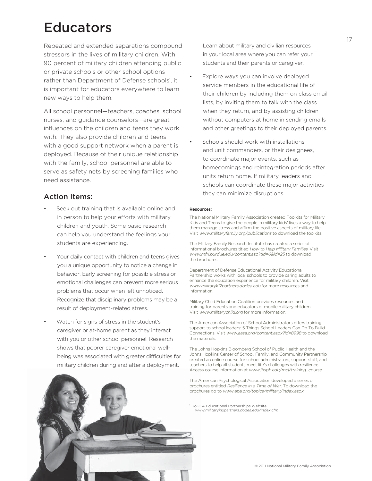## Educators

Repeated and extended separations compound stressors in the lives of military children. With 90 percent of military children attending public or private schools or other school options rather than Department of Defense schools<sup>1</sup>, it is important for educators everywhere to learn new ways to help them.

All school personnel—teachers, coaches, school nurses, and guidance counselors—are great influences on the children and teens they work with. They also provide children and teens with a good support network when a parent is deployed. Because of their unique relationship with the family, school personnel are able to serve as safety nets by screening families who need assistance.

## Action Items:

- Seek out training that is available online and in person to help your efforts with military children and youth. Some basic research can help you understand the feelings your students are experiencing.
- Your daily contact with children and teens gives you a unique opportunity to notice a change in behavior. Early screening for possible stress or emotional challenges can prevent more serious problems that occur when left unnoticed. Recognize that disciplinary problems may be a result of deployment-related stress.
- Watch for signs of stress in the student's caregiver or at-home parent as they interact with you or other school personnel. Research shows that poorer caregiver emotional wellbeing was associated with greater difficulties for military children during and after a deployment.

Learn about military and civilian resources in your local area where you can refer your students and their parents or caregiver.

- Explore ways you can involve deployed service members in the educational life of their children by including them on class email lists, by inviting them to talk with the class when they return, and by assisting children without computers at home in sending emails and other greetings to their deployed parents.
- Schools should work with installations and unit commanders, or their designees, to coordinate major events, such as homecomings and reintegration periods after units return home. If military leaders and schools can coordinate these major activities they can minimize disruptions.

#### Resources:

The National Military Family Association created Toolkits for Military Kids and Teens to give the people in military kids' lives a way to help them manage stress and affirm the positive aspects of military life. Visit www.militaryfamily.org/publications to download the toolkits.

The Military Family Research Institute has created a series of informational brochures titled How to Help Military Families. Visit www.mfri.purdue.edu/content.asp?tid=6&id=25 to download the brochures.

Department of Defense Educational Activity Educational Partnership works with local schools to provide caring adults to enhance the education experience for military children. Visit www.militaryk12partners.dodea.edu for more resources and information.

Military Child Education Coalition provides resources and training for parents and educators of mobile military children. Visit www.militarychild.org for more information.

The American Association of School Administrators offers training support to school leaders: 5 Things School Leaders Can Do To Build Connections. Visit www.aasa.org/content.aspx?id=8998 to download the materials.

The Johns Hopkins Bloomberg School of Public Health and the Johns Hopkins Center of School, Family, and Community Partnership created an online course for school administrators, support staff, and teachers to help all students meet life's challenges with resilience. Access course information at www.jhsph.edu/mci/training\_course.

The American Psychological Association developed a series of brochures entitled Resilience in a Time of War. To download the brochures go to www.apa.org/topics/military/index.aspx.

1 DoDEA Educational Partnerships Website www.militaryk12partners.dodea.edu/index.cfm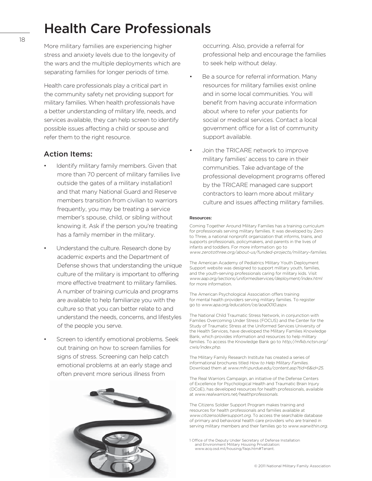## Health Care Professionals

More military families are experiencing higher stress and anxiety levels due to the longevity of the wars and the multiple deployments which are separating families for longer periods of time.

Health care professionals play a critical part in the community safety net providing support for military families. When health professionals have a better understanding of military life, needs, and services available, they can help screen to identify possible issues affecting a child or spouse and refer them to the right resource.

## Action Items:

- Identify military family members. Given that more than 70 percent of military families live outside the gates of a military installation1 and that many National Guard and Reserve members transition from civilian to warriors frequently, you may be treating a service member's spouse, child, or sibling without knowing it. Ask if the person you're treating has a family member in the military.
- Understand the culture. Research done by academic experts and the Department of Defense shows that understanding the unique culture of the military is important to offering more effective treatment to military families. A number of training curricula and programs are available to help familiarize you with the culture so that you can better relate to and understand the needs, concerns, and lifestyles of the people you serve.
- Screen to identify emotional problems. Seek out training on how to screen families for signs of stress. Screening can help catch emotional problems at an early stage and often prevent more serious illness from



occurring. Also, provide a referral for professional help and encourage the families to seek help without delay.

- Be a source for referral information. Many resources for military families exist online and in some local communities. You will benefit from having accurate information about where to refer your patients for social or medical services. Contact a local government office for a list of community support available.
- Join the TRICARE network to improve military families' access to care in their communities. Take advantage of the professional development programs offered by the TRICARE managed care support contractors to learn more about military culture and issues affecting military families.

#### Resources:

Coming Together Around Military Families has a training curriculum for professionals serving military families. It was developed by Zero to Three, a national nonprofit organization that informs, trains, and supports professionals, policymakers, and parents in the lives of infants and toddlers. For more information go to www.zerotothree.org/about-us/funded-projects/military-families.

The American Academy of Pediatrics Military Youth Deployment Support website was designed to support military youth, families, and the youth-serving professionals caring for military kids. Visit www.aap.org/sections/uniformedservices/deployment/index.html for more information.

The American Psychological Association offers training for mental health providers serving military families. To register go to www.apa.org/education/ce/aoa0010.aspx.

The National Child Traumatic Stress Network, in conjunction with Families Overcoming Under Stress (FOCUS) and the Center for the Study of Traumatic Stress at the Uniformed Services University of the Health Services, have developed the Military Families Knowledge Bank, which provides information and resources to help military families. To access the Knowledge Bank go to http://mfkb.nctsn.org/ cwis/index.php.

The Military Family Research Institute has created a series of informational brochures titled How to Help Military Families. Download them at www.mfri.purdue.edu/content.asp?tid=6&id=25.

The Real Warriors Campaign, an initiative of the Defense Centers of Excellence for Psychological Health and Traumatic Brain Injury (DCoE), has developed resources for health professionals, available at www.realwarriors.net/healthprofessionals.

The Citizens Soldier Support Program makes training and resources for health professionals and families available at www.citizensoldiersupport.org. To access the searchable database of primary and behavioral health care providers who are trained in serving military members and their families go to www.warwithin.org.

<sup>1</sup> Office of the Deputy Under Secretary of Defense Installation<br>and Environment Military Housing Privatization: www.acq.osd.mil/housing/faqs.htm#Tenant.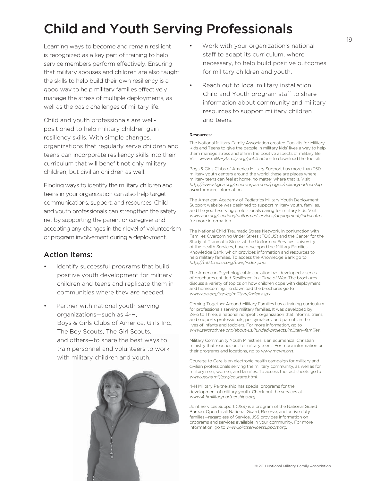## Child and Youth Serving Professionals

Learning ways to become and remain resilient is recognized as a key part of training to help service members perform effectively. Ensuring that military spouses and children are also taught the skills to help build their own resiliency is a good way to help military families effectively manage the stress of multiple deployments, as well as the basic challenges of military life.

Child and youth professionals are wellpositioned to help military children gain resiliency skills. With simple changes, organizations that regularly serve children and teens can incorporate resiliency skills into their curriculum that will benefit not only military children, but civilian children as well.

Finding ways to identify the military children and teens in your organization can also help target communications, support, and resources. Child and youth professionals can strengthen the safety net by supporting the parent or caregiver and accepting any changes in their level of volunteerism or program involvement during a deployment.

## Action Items:

- Identify successful programs that build positive youth development for military children and teens and replicate them in communities where they are needed.
- Partner with national youth-serving organizations—such as 4-H, Boys & Girls Clubs of America, Girls Inc., The Boy Scouts, The Girl Scouts, and others—to share the best ways to train personnel and volunteers to work with military children and youth.



- Work with your organization's national staff to adapt its curriculum, where necessary, to help build positive outcomes for military children and youth.
- Reach out to local military installation Child and Youth program staff to share information about community and military resources to support military children and teens.

#### Resources:

The National Military Family Association created Toolkits for Military Kids and Teens to give the people in military kids' lives a way to help them manage stress and affirm the positive aspects of military life. Visit www.militaryfamily.org/publications to download the toolkits.

Boys & Girls Clubs of America Military Support has more than 350 military youth centers around the world; these are places where military teens can feel at home, no matter where that is. Visit http://www.bgca.org/meetourpartners/pages/militarypartnership. aspx for more information.

The American Academy of Pediatrics Military Youth Deployment Support website was designed to support military youth, families, and the youth-serving professionals caring for military kids. Visit www.aap.org/sections/uniformedservices/deployment/index.html for more information.

The National Child Traumatic Stress Network, in conjunction with Families Overcoming Under Stress (FOCUS) and the Center for the Study of Traumatic Stress at the Uniformed Services University of the Health Services, have developed the Military Families Knowledge Bank, which provides information and resources to help military families. To access the Knowledge Bank go to http://mfkb.nctsn.org/cwis/index.php.

The American Psychological Association has developed a series of brochures entitled Resilience in a Time of War. The brochures discuss a variety of topics on how children cope with deployment and homecoming. To download the brochures go to www.apa.org/topics/military/index.aspx.

Coming Together Around Military Families has a training curriculum for professionals serving military families. It was developed by Zero to Three, a national nonprofit organization that informs, trains, and supports professionals, policymakers, and parents in the lives of infants and toddlers. For more information, go to www.zerotothree.org/about-us/funded-projects/military-families.

Military Community Youth Ministries is an ecumenical Christian ministry that reaches out to military teens. For more information on their programs and locations, go to www.mcym.org.

Courage to Care is an electronic health campaign for military and civilian professionals serving the military community, as well as for military men, women, and families. To access the fact sheets go to www.usuhs.mil/psy/courage.html.

4-H Military Partnership has special programs for the development of military youth. Check out the services at www.4-hmilitarypartnerships.org.

Joint Services Support (JSS) is a program of the National Guard Bureau. Open to all National Guard, Reserve, and active duty families—regardless of Service, JSS provides information on programs and services available in your community. For more information, go to www.jointservicessupport.org.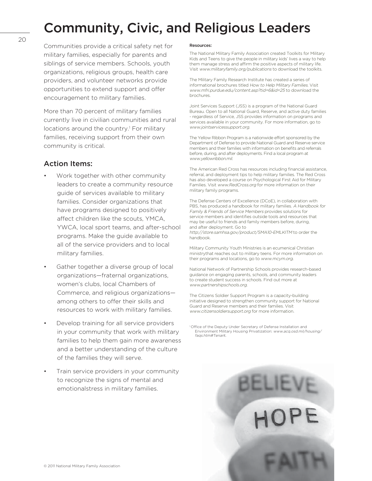## Community, Civic, and Religious Leaders

20

Communities provide a critical safety net for military families, especially for parents and siblings of service members. Schools, youth organizations, religious groups, health care providers, and volunteer networks provide opportunities to extend support and offer encouragement to military families.

More than 70 percent of military families currently live in civilian communities and rural locations around the country.<sup>1</sup> For military families, receiving support from their own community is critical.

## Action Items:

- Work together with other community leaders to create a community resource guide of services available to military families. Consider organizations that have programs designed to positively affect children like the scouts, YMCA, YWCA, local sport teams, and after-school programs. Make the guide available to all of the service providers and to local military families.
- Gather together a diverse group of local organizations—fraternal organizations, women's clubs, local Chambers of Commerce, and religious organizations among others to offer their skills and resources to work with military families.
- Develop training for all service providers in your community that work with military families to help them gain more awareness and a better understanding of the culture of the families they will serve.
- Train service providers in your community to recognize the signs of mental and emotionalstress in military families.

#### Resources:

The National Military Family Association created Toolkits for Military Kids and Teens to give the people in military kids' lives a way to help them manage stress and affirm the positive aspects of military life. Visit www.militaryfamily.org/publications to download the toolkits.

The Military Family Research Institute has created a series of informational brochures titled How to Help Military Families. Visit www.mfri.purdue.edu/content.asp?tid=6&id=25 to download the brochures.

Joint Services Support (JSS) is a program of the National Guard Bureau. Open to all National Guard, Reserve, and active duty families - regardless of Service, JSS provides information on programs and services available in your community. For more information, go to www.jointservicessupport.org.

The Yellow Ribbon Program is a nationwide effort sponsored by the Department of Defense to provide National Guard and Reserve service members and their families with information on benefits and referrals before, during, and after deployments. Find a local program at www.yellowribbon.mil.

The American Red Cross has resources including financial assistance, referral, and deployment tips to help military families. The Red Cross has also developed a course on Psychological First Aid for Military Families. Visit www.RedCross.org for more information on their military family programs.

The Defense Centers of Excellence (DCoE), in collaboration with PBS, has produced a handbook for military families. A Handbook for Family & Friends of Service Members provides solutions for service members and identifies outside tools and resources that may be useful to friends and family members before, during, and after deployment. Go to http://store.samhsa.gov/product/SMA10-EMLKITM to order the handbook.

Military Community Youth Ministries is an ecumenical Christian ministrythat reaches out to military teens. For more information on their programs and locations, go to www.mcym.org.

National Network of Partnership Schools provides research-based guidance on engaging parents, schools, and community leaders to create student success in schools. Find out more at www.partnershipschools.org.

The Citizens Soldier Support Program is a capacity-building initiative designed to strengthen community support for National Guard and Reserve members and their families. Visit www.citizensoldiersupport.org for more information.

<sup>1</sup> Office of the Deputy Under Secretary of Defense Installation and Environment Military Housing Privatization: www.acq.osd.mil/housing/ faqs.htm#Tenant.

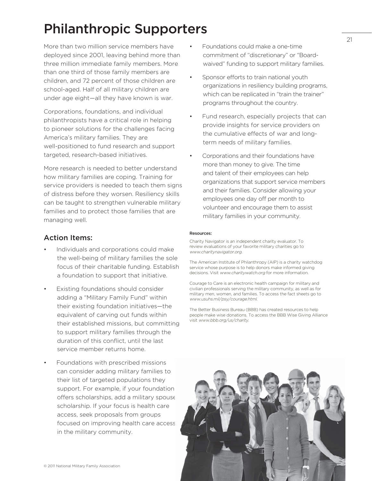## Philanthropic Supporters

More than two million service members have deployed since 2001, leaving behind more than three million immediate family members. More than one third of those family members are children, and 72 percent of those children are school-aged. Half of all military children are under age eight—all they have known is war.

Corporations, foundations, and individual philanthropists have a critical role in helping to pioneer solutions for the challenges facing America's military families. They are well-positioned to fund research and support targeted, research-based initiatives.

More research is needed to better understand how military families are coping. Training for service providers is needed to teach them signs of distress before they worsen. Resiliency skills can be taught to strengthen vulnerable military families and to protect those families that are managing well.

## Action Items:

- Individuals and corporations could make the well-being of military families the sole focus of their charitable funding. Establish a foundation to support that initiative.
- Existing foundations should consider adding a "Military Family Fund" within their existing foundation initiatives—the equivalent of carving out funds within their established missions, but committing to support military families through the duration of this conflict, until the last service member returns home.
- Foundations with prescribed missions can consider adding military families to their list of targeted populations they support. For example, if your foundation offers scholarships, add a military spouse scholarship. If your focus is health care access, seek proposals from groups focused on improving health care access in the military community.
- Foundations could make a one-time commitment of "discretionary" or "Boardwaived" funding to support military families.
- Sponsor efforts to train national youth organizations in resiliency building programs, which can be replicated in "train the trainer" programs throughout the country.
- Fund research, especially projects that can provide insights for service providers on the cumulative effects of war and longterm needs of military families.
- Corporations and their foundations have more than money to give. The time and talent of their employees can help organizations that support service members and their families. Consider allowing your employees one day off per month to volunteer and encourage them to assist military families in your community.

#### Resources:

Charity Navigator is an independent charity evaluator. To review evaluations of your favorite military charities go to www.charitynavigator.org.

The American Institute of Philanthropy (AIP) is a charity watchdog service whose purpose is to help donors make informed giving decisions. Visit www.charitywatch.org for more information.

Courage to Care is an electronic health campaign for military and civilian professionals serving the military community, as well as for military men, women, and families. To access the fact sheets go to www.usuhs.mil/psy/courage.html.

The Better Business Bureau (BBB) has created resources to help people make wise donations. To access the BBB Wise Giving Alliance visit www.bbb.org/us/charity.

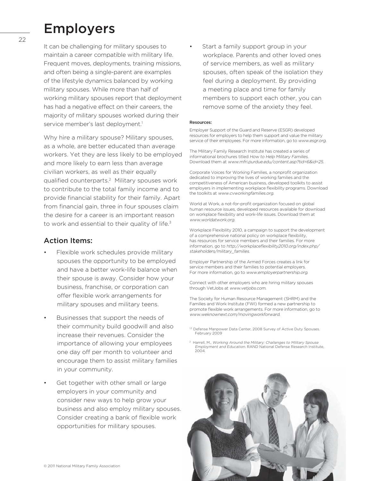## Employers

It can be challenging for military spouses to maintain a career compatible with military life. Frequent moves, deployments, training missions, and often being a single-parent are examples of the lifestyle dynamics balanced by working military spouses. While more than half of working military spouses report that deployment has had a negative effect on their careers, the majority of military spouses worked during their service member's last deployment.<sup>1</sup>

Why hire a military spouse? Military spouses, as a whole, are better educated than average workers. Yet they are less likely to be employed and more likely to earn less than average civilian workers, as well as their equally qualified counterparts.<sup>2</sup> Military spouses work to contribute to the total family income and to provide financial stability for their family. Apart from financial gain, three in four spouses claim the desire for a career is an important reason to work and essential to their quality of life.<sup>3</sup>

## Action Items:

- Flexible work schedules provide military spouses the opportunity to be employed and have a better work-life balance when their spouse is away. Consider how your business, franchise, or corporation can offer flexible work arrangements for military spouses and military teens.
- Businesses that support the needs of their community build goodwill and also increase their revenues. Consider the importance of allowing your employees one day off per month to volunteer and encourage them to assist military families in your community.
- Get together with other small or large employers in your community and consider new ways to help grow your business and also employ military spouses. Consider creating a bank of flexible work opportunities for military spouses.

Start a family support group in your workplace. Parents and other loved ones of service members, as well as military spouses, often speak of the isolation they feel during a deployment. By providing a meeting place and time for family members to support each other, you can remove some of the anxiety they feel.

#### Resources:

Employer Support of the Guard and Reserve (ESGR) developed resources for employers to help them support and value the military service of their employees. For more information, go to www.esgr.org.

The Military Family Research Institute has created a series of informational brochures titled How to Help Military Families. Download them at www.mfri.purdue.edu/content.asp?tid=6&id=25.

Corporate Voices for Working Families, a nonprofit organization dedicated to improving the lives of working families and the competitiveness of American business, developed toolkits to assist employers in implementing workplace flexibility programs. Download the toolkits at www.cvworkingfamilies.org.

World at Work, a not-for-profit organization focused on global human resource issues, developed resources available for download on workplace flexibility and work-life issues. Download them at www.worldatwork.org.

Workplace Flexibility 2010, a campaign to support the development of a comprehensive national policy on workplace flexibility, has resources for service members and their families. For more information, go to http://workplaceflexibility2010.org/index.php/ stakeholders/military\_families.

Employer Partnership of the Armed Forces creates a link for service members and their families to potential employers. For more information, go to www.employerpartnership.org.

Connect with other employers who are hiring military spouses through VetJobs at www.vetjobs.com.

The Society for Human Resource Management (SHRM) and the Families and Work Institute (FWI) formed a new partnership to promote flexible work arrangements. For more information, go to www.weknownext.com/movingworkforward.

- 1,3 Defense Manpower Data Center, 2008 Survey of Active Duty Spouses. February 2009
- 2 Harrell, M., Working Around the Military: Challenges to Military Spouse Employment and Education. RAND National Defense Research Institute,  $2004$

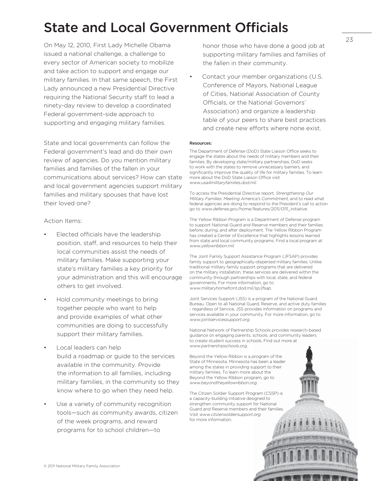## State and Local Government Officials

On May 12, 2010, First Lady Michelle Obama issued a national challenge, a challenge to every sector of American society to mobilize and take action to support and engage our military families. In that same speech, the First Lady announced a new Presidential Directive requiring the National Security staff to lead a ninety-day review to develop a coordinated Federal government-side approach to supporting and engaging military families.

State and local governments can follow the Federal government's lead and do their own review of agencies. Do you mention military families and families of the fallen in your communications about services? How can state and local government agencies support military families and military spouses that have lost their loved one?

Action Items:

- Elected officials have the leadership position, staff, and resources to help their local communities assist the needs of military families. Make supporting your state's military families a key priority for your administration and this will encourage others to get involved.
- Hold community meetings to bring together people who want to help and provide examples of what other communities are doing to successfully support their military families.
- Local leaders can help build a roadmap or guide to the services available in the community. Provide the information to all families, including military families, in the community so they know where to go when they need help.
- Use a variety of community recognition tools—such as community awards, citizen of the week programs, and reward programs for to school children—to

honor those who have done a good job at supporting military families and families of the fallen in their community.

Contact your member organizations (U.S. Conference of Mayors, National League of Cities, National Association of County Officials, or the National Governors' Association) and organize a leadership table of your peers to share best practices and create new efforts where none exist.

#### Resources:

The Department of Defense (DoD) State Liaison Office seeks to engage the states about the needs of military members and their families. By developing state/military partnerships, DoD seeks to work with the states to remove unnecessary barriers, and significantly improve the quality of life for military families. To learn more about the DoD State Liaison Office visit www.usa4militaryfamilies.dod.mil.

To access the Presidential Directive report, Strengthening Our Military Families: Meeting America's Commitment, and to read what federal agencies are doing to respond to the President's call to action go to www.defense.gov/home/features/2011/0111\_initiative.

The Yellow Ribbon Program is a Department of Defense program to support National Guard and Reserve members and their families before, during, and after deployment. The Yellow Ribbon Program has created a Center of Excellence that highlights lessons learned from state and local community programs. Find a local program at www.yellowribbon.mil.

The Joint Family Support Assistance Program (JFSAP) provides family support to geographically-dispersed military families. Unlike traditional military family support programs that are delivered on the military installation, these services are delivered within the community through partnerships with local, state, and federal governments. For more information, go to www.militaryhomefront.dod.mil/sp/jfsap.

Joint Services Support (JSS) is a program of the National Guard Bureau. Open to all National Guard, Reserve, and active duty families - regardless of Service, JSS provides information on programs and services available in your community. For more information, go to www.jointservicessupport.org.

National Network of Partnership Schools provides research-based guidance on engaging parents, schools, and community leaders to create student success in schools. Find out more at www.partnershipschools.org.

C 2011 National Military Family Association Association Association

Beyond the Yellow Ribbon is a program of the State of Minnesota. Minnesota has been a leader among the states in providing support to their military families. To learn more about the Beyond the Yellow Ribbon program, go to www.beyondtheyellowribbon.org.

The Citizen Soldier Support Program (CSSP) is a capacity-building initiative designed to strengthen community support for National Guard and Reserve members and their families. Visit www.citizensoldiersupport.org for more information.